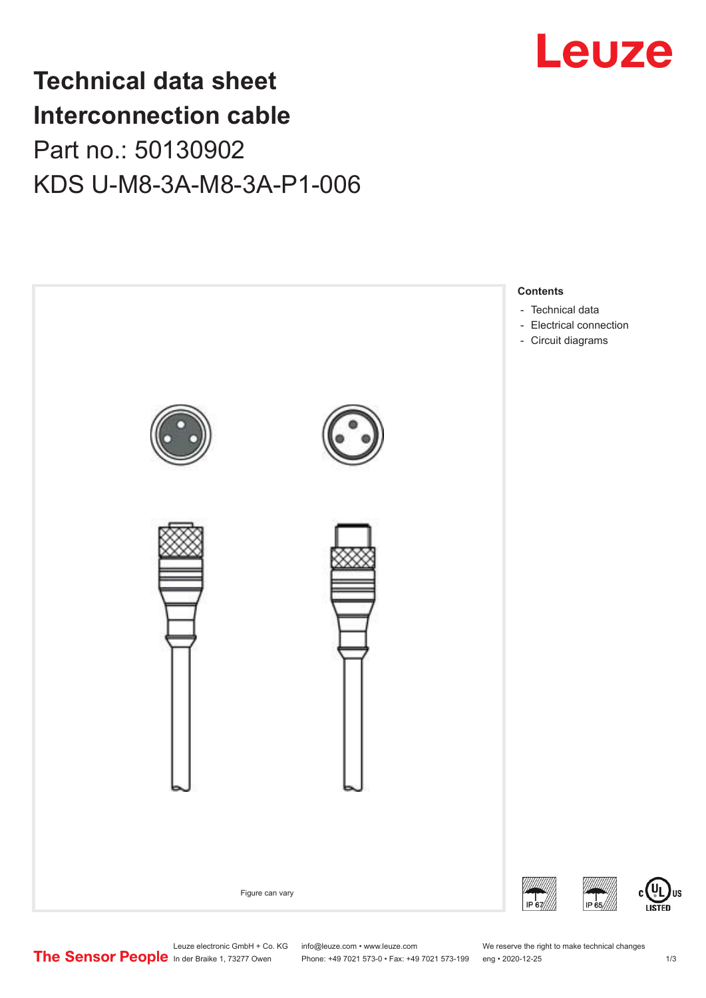

## **Technical data sheet Interconnection cable** Part no.: 50130902 KDS U-M8-3A-M8-3A-P1-006



Leuze electronic GmbH + Co. KG info@leuze.com • www.leuze.com We reserve the right to make technical changes<br>
The Sensor People in der Braike 1, 73277 Owen Phone: +49 7021 573-0 • Fax: +49 7021 573-199 eng • 2020-12-25

Phone: +49 7021 573-0 • Fax: +49 7021 573-199 eng • 2020-12-25 1 2020-12-25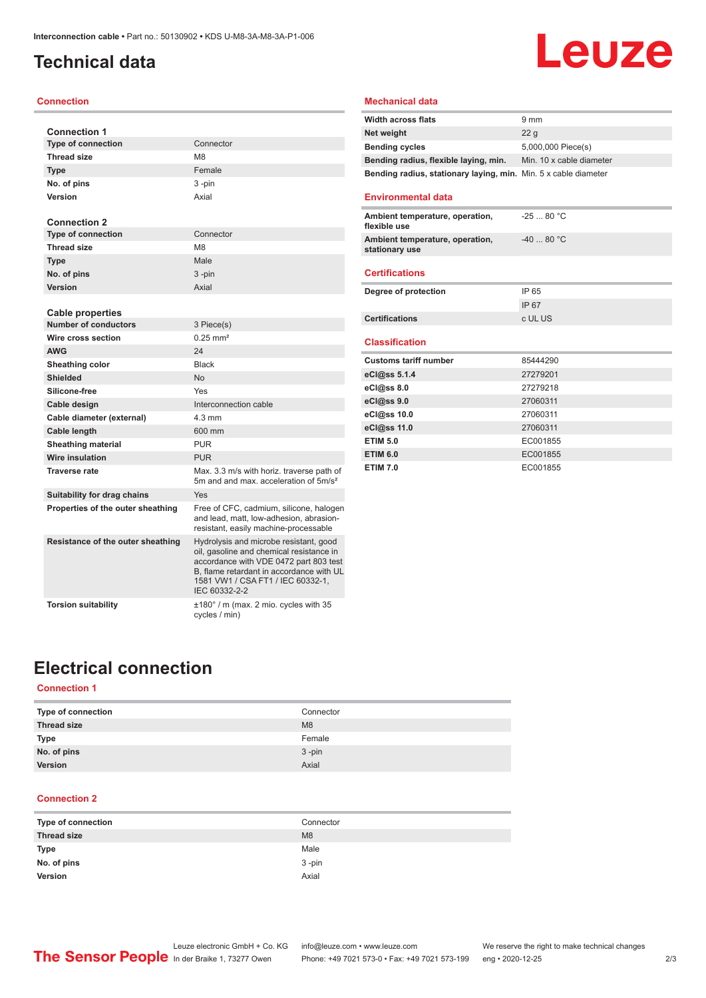## <span id="page-1-0"></span>**Technical data**

#### **Connection**

| <b>Connection 1</b>                                    |                                                                                                                                                                                                                                |
|--------------------------------------------------------|--------------------------------------------------------------------------------------------------------------------------------------------------------------------------------------------------------------------------------|
| <b>Type of connection</b>                              | Connector                                                                                                                                                                                                                      |
| <b>Thread size</b>                                     | M <sub>8</sub>                                                                                                                                                                                                                 |
| Type                                                   | Female                                                                                                                                                                                                                         |
| No. of pins                                            | 3-pin                                                                                                                                                                                                                          |
| Version                                                | Axial                                                                                                                                                                                                                          |
|                                                        |                                                                                                                                                                                                                                |
| <b>Connection 2</b>                                    |                                                                                                                                                                                                                                |
| <b>Type of connection</b>                              | Connector                                                                                                                                                                                                                      |
| <b>Thread size</b>                                     | M <sub>8</sub>                                                                                                                                                                                                                 |
| <b>Type</b>                                            | Male                                                                                                                                                                                                                           |
| No. of pins                                            | 3-pin                                                                                                                                                                                                                          |
| Version                                                | Axial                                                                                                                                                                                                                          |
|                                                        |                                                                                                                                                                                                                                |
| <b>Cable properties</b><br><b>Number of conductors</b> | 3 Piece(s)                                                                                                                                                                                                                     |
| Wire cross section                                     | $0.25$ mm <sup>2</sup>                                                                                                                                                                                                         |
| <b>AWG</b>                                             | 24                                                                                                                                                                                                                             |
| Sheathing color                                        | <b>Black</b>                                                                                                                                                                                                                   |
| Shielded                                               | No                                                                                                                                                                                                                             |
| Silicone-free                                          | Yes                                                                                                                                                                                                                            |
| Cable design                                           | Interconnection cable                                                                                                                                                                                                          |
| Cable diameter (external)                              | $4.3 \text{ mm}$                                                                                                                                                                                                               |
| Cable length                                           | 600 mm                                                                                                                                                                                                                         |
| <b>Sheathing material</b>                              | <b>PUR</b>                                                                                                                                                                                                                     |
| Wire insulation                                        | <b>PUR</b>                                                                                                                                                                                                                     |
| <b>Traverse rate</b>                                   | Max. 3.3 m/s with horiz. traverse path of                                                                                                                                                                                      |
|                                                        | 5m and and max acceleration of 5m/s <sup>2</sup>                                                                                                                                                                               |
| Suitability for drag chains                            | Yes                                                                                                                                                                                                                            |
| Properties of the outer sheathing                      | Free of CFC, cadmium, silicone, halogen<br>and lead, matt, low-adhesion, abrasion-<br>resistant, easily machine-processable                                                                                                    |
| Resistance of the outer sheathing                      | Hydrolysis and microbe resistant, good<br>oil, gasoline and chemical resistance in<br>accordance with VDE 0472 part 803 test<br>B. flame retardant in accordance with UL<br>1581 VW1 / CSA FT1 / IEC 60332-1.<br>IEC 60332-2-2 |
| <b>Torsion suitability</b>                             | ±180° / m (max. 2 mio. cycles with 35<br>cycles / min)                                                                                                                                                                         |

## **Leuze**

### **Mechanical data**

| <b>Width across flats</b>                                       | $9 \, \text{mm}$         |
|-----------------------------------------------------------------|--------------------------|
| Net weight                                                      | 22q                      |
| <b>Bending cycles</b>                                           | 5,000,000 Piece(s)       |
| Bending radius, flexible laying, min.                           | Min. 10 x cable diameter |
| Bending radius, stationary laying, min. Min. 5 x cable diameter |                          |

### **Environmental data**

| <b>Certifications</b>                             |            |
|---------------------------------------------------|------------|
| Ambient temperature, operation,<br>stationary use | $-4080 °C$ |
| Ambient temperature, operation,<br>flexible use   | $-2580 °C$ |
|                                                   |            |

| Degree of protection  | IP 65   |
|-----------------------|---------|
|                       | IP 67   |
| <b>Certifications</b> | c UL US |

#### **Classification**

| <b>Customs tariff number</b> | 85444290 |
|------------------------------|----------|
| eCl@ss 5.1.4                 | 27279201 |
| eCl@ss 8.0                   | 27279218 |
| eCl@ss 9.0                   | 27060311 |
| eCl@ss 10.0                  | 27060311 |
| eCl@ss 11.0                  | 27060311 |
| <b>ETIM 5.0</b>              | EC001855 |
| <b>ETIM 6.0</b>              | EC001855 |
| <b>ETIM 7.0</b>              | EC001855 |

## **Electrical connection**

## **Connection 1**

| Type of connection | Connector |
|--------------------|-----------|
| <b>Thread size</b> | M8        |
| Type               | Female    |
| No. of pins        | $3 - pin$ |
| <b>Version</b>     | Axial     |

#### **Connection 2**

| Type of connection | Connector |
|--------------------|-----------|
| <b>Thread size</b> | M8        |
| <b>Type</b>        | Male      |
| No. of pins        | $3 - pin$ |
| Version            | Axial     |
|                    |           |